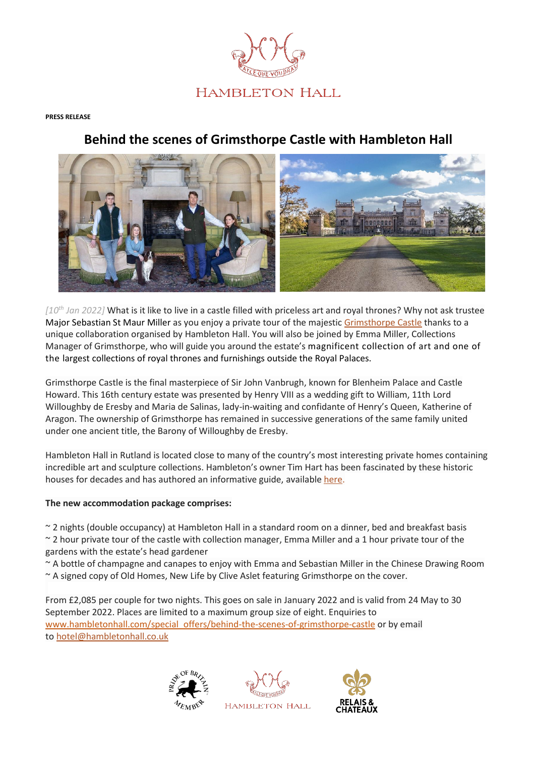

## **PRESS RELEASE**

## **Behind the scenes of Grimsthorpe Castle with Hambleton Hall**



*[10th Jan 2022]* What is it like to live in a castle filled with priceless art and royal thrones? Why not ask trustee Major Sebastian St Maur Miller as you enjoy a private tour of the majestic [Grimsthorpe Castle](https://www.grimsthorpe.co.uk/) thanks to a unique collaboration organised by Hambleton Hall. You will also be joined by Emma Miller, Collections Manager of Grimsthorpe, who will guide you around the estate's magnificent collection of art and one of the largest collections of royal thrones and furnishings outside the Royal Palaces.

Grimsthorpe Castle is the final masterpiece of Sir John Vanbrugh, known for Blenheim Palace and Castle Howard. This 16th century estate was presented by Henry VIII as a wedding gift to William, 11th Lord Willoughby de Eresby and Maria de Salinas, lady-in-waiting and confidante of Henry's Queen, Katherine of Aragon. The ownership of Grimsthorpe has remained in successive generations of the same family united under one ancient title, the Barony of Willoughby de Eresby.

Hambleton Hall in Rutland is located close to many of the country's most interesting private homes containing incredible art and sculpture collections. Hambleton's owner Tim Hart has been fascinated by these historic houses for decades and has authored an informative guide, available [here.](https://www.hambletonhall.com/wp-content/uploads/2020/07/Hambleton_TTD_2020Covid.pdf)

## **The new accommodation package comprises:**

~ 2 nights (double occupancy) at Hambleton Hall in a standard room on a dinner, bed and breakfast basis ~ 2 hour private tour of the castle with collection manager, Emma Miller and a 1 hour private tour of the gardens with the estate's head gardener

~ A bottle of champagne and canapes to enjoy with Emma and Sebastian Miller in the Chinese Drawing Room ~ A signed copy of Old Homes, New Life by Clive Aslet featuring Grimsthorpe on the cover.

From £2,085 per couple for two nights. This goes on sale in January 2022 and is valid from 24 May to 30 September 2022. Places are limited to a maximum group size of eight. Enquiries to [www.hambletonhall.com/special\\_offers/behind-the-scenes-of-grimsthorpe-castle](http://www.hambletonhall.com/special_offers/behind-the-scenes-of-grimsthorpe-castle) or by email to [hotel@hambletonhall.co.uk](mailto:hotel@hambletonhall.co.uk?subject=Grimsthorpe%20Castle%20package%20enquiry&body=Dear%20team%2C%0AI%20read%20about%20the%20new%20package%20via%20The%20Luxury%20Group%20and%20wish%20to%20make%20an%20enquiry.)





**HAMBLETON HALL**